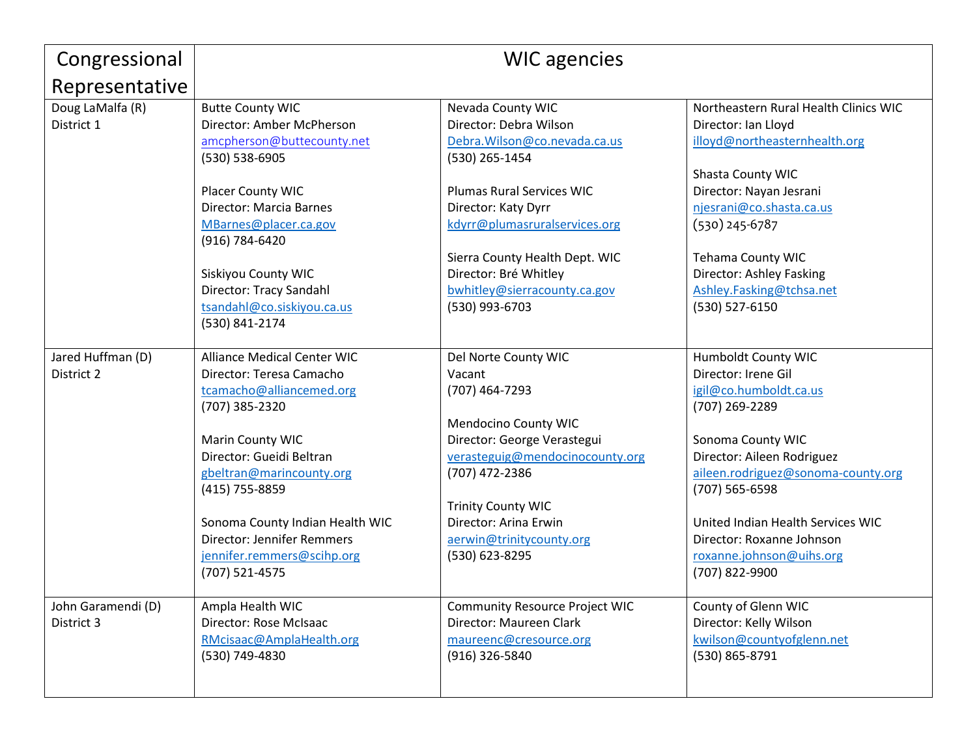| Congressional      | <b>WIC</b> agencies                |                                       |                                       |
|--------------------|------------------------------------|---------------------------------------|---------------------------------------|
| Representative     |                                    |                                       |                                       |
| Doug LaMalfa (R)   | <b>Butte County WIC</b>            | Nevada County WIC                     | Northeastern Rural Health Clinics WIC |
| District 1         | Director: Amber McPherson          | Director: Debra Wilson                | Director: Ian Lloyd                   |
|                    | amcpherson@buttecounty.net         | Debra. Wilson@co.nevada.ca.us         | illoyd@northeasternhealth.org         |
|                    | (530) 538-6905                     | (530) 265-1454                        |                                       |
|                    |                                    |                                       | Shasta County WIC                     |
|                    | Placer County WIC                  | <b>Plumas Rural Services WIC</b>      | Director: Nayan Jesrani               |
|                    | Director: Marcia Barnes            | Director: Katy Dyrr                   | njesrani@co.shasta.ca.us              |
|                    | MBarnes@placer.ca.gov              | kdyrr@plumasruralservices.org         | $(530)$ 245-6787                      |
|                    | (916) 784-6420                     |                                       |                                       |
|                    |                                    | Sierra County Health Dept. WIC        | <b>Tehama County WIC</b>              |
|                    | Siskiyou County WIC                | Director: Bré Whitley                 | Director: Ashley Fasking              |
|                    | Director: Tracy Sandahl            | bwhitley@sierracounty.ca.gov          | Ashley.Fasking@tchsa.net              |
|                    | tsandahl@co.siskiyou.ca.us         | (530) 993-6703                        | (530) 527-6150                        |
|                    | (530) 841-2174                     |                                       |                                       |
|                    |                                    |                                       |                                       |
| Jared Huffman (D)  | <b>Alliance Medical Center WIC</b> | Del Norte County WIC                  | <b>Humboldt County WIC</b>            |
| District 2         | Director: Teresa Camacho           | Vacant                                | Director: Irene Gil                   |
|                    | tcamacho@alliancemed.org           | (707) 464-7293                        | igil@co.humboldt.ca.us                |
|                    | (707) 385-2320                     |                                       | (707) 269-2289                        |
|                    |                                    | Mendocino County WIC                  |                                       |
|                    | Marin County WIC                   | Director: George Verastegui           | Sonoma County WIC                     |
|                    | Director: Gueidi Beltran           | verasteguig@mendocinocounty.org       | Director: Aileen Rodriguez            |
|                    | gbeltran@marincounty.org           | (707) 472-2386                        | aileen.rodriguez@sonoma-county.org    |
|                    | (415) 755-8859                     |                                       | (707) 565-6598                        |
|                    |                                    | <b>Trinity County WIC</b>             |                                       |
|                    | Sonoma County Indian Health WIC    | Director: Arina Erwin                 | United Indian Health Services WIC     |
|                    | <b>Director: Jennifer Remmers</b>  | aerwin@trinitycounty.org              | Director: Roxanne Johnson             |
|                    | jennifer.remmers@scihp.org         | (530) 623-8295                        | roxanne.johnson@uihs.org              |
|                    | (707) 521-4575                     |                                       | (707) 822-9900                        |
| John Garamendi (D) | Ampla Health WIC                   | <b>Community Resource Project WIC</b> | County of Glenn WIC                   |
| District 3         | Director: Rose McIsaac             | Director: Maureen Clark               | Director: Kelly Wilson                |
|                    | RMcisaac@AmplaHealth.org           | maureenc@cresource.org                | kwilson@countyofglenn.net             |
|                    | (530) 749-4830                     | (916) 326-5840                        | (530) 865-8791                        |
|                    |                                    |                                       |                                       |
|                    |                                    |                                       |                                       |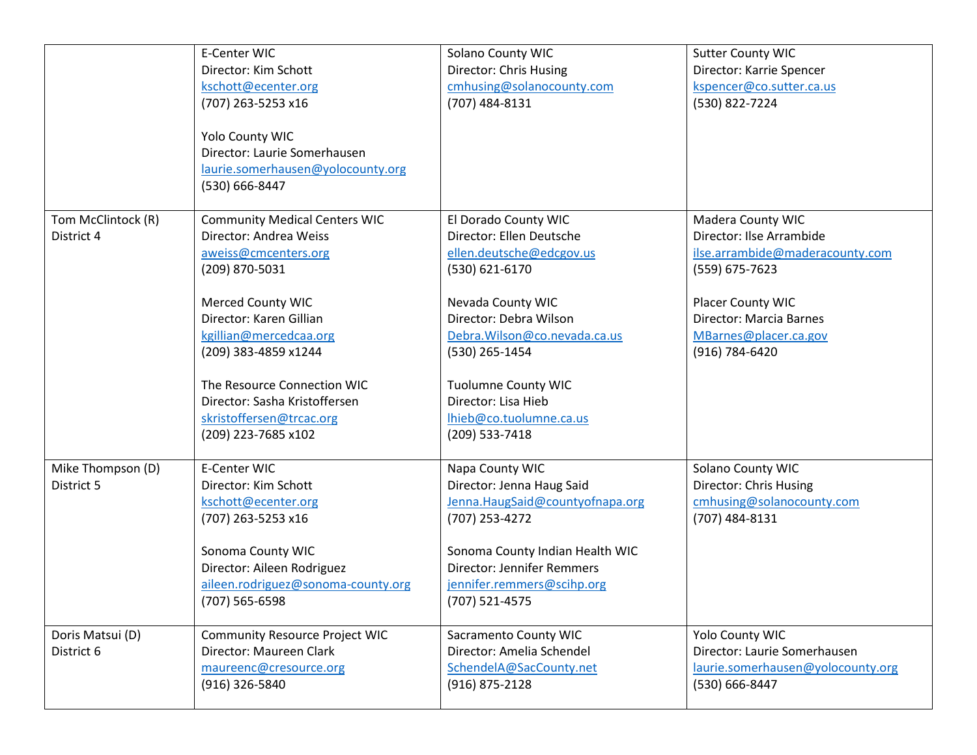|                    | E-Center WIC                          | Solano County WIC                 | <b>Sutter County WIC</b>          |
|--------------------|---------------------------------------|-----------------------------------|-----------------------------------|
|                    | Director: Kim Schott                  | Director: Chris Husing            | Director: Karrie Spencer          |
|                    | kschott@ecenter.org                   | cmhusing@solanocounty.com         | kspencer@co.sutter.ca.us          |
|                    | (707) 263-5253 x16                    | (707) 484-8131                    | (530) 822-7224                    |
|                    |                                       |                                   |                                   |
|                    | Yolo County WIC                       |                                   |                                   |
|                    | Director: Laurie Somerhausen          |                                   |                                   |
|                    | laurie.somerhausen@yolocounty.org     |                                   |                                   |
|                    | (530) 666-8447                        |                                   |                                   |
| Tom McClintock (R) | <b>Community Medical Centers WIC</b>  | El Dorado County WIC              | Madera County WIC                 |
| District 4         | Director: Andrea Weiss                | Director: Ellen Deutsche          | Director: Ilse Arrambide          |
|                    | aweiss@cmcenters.org                  | ellen.deutsche@edcgov.us          | ilse.arrambide@maderacounty.com   |
|                    | (209) 870-5031                        | (530) 621-6170                    | (559) 675-7623                    |
|                    |                                       |                                   |                                   |
|                    | <b>Merced County WIC</b>              | Nevada County WIC                 | Placer County WIC                 |
|                    | Director: Karen Gillian               | Director: Debra Wilson            | Director: Marcia Barnes           |
|                    | kgillian@mercedcaa.org                | Debra. Wilson@co.nevada.ca.us     | MBarnes@placer.ca.gov             |
|                    | (209) 383-4859 x1244                  | (530) 265-1454                    | (916) 784-6420                    |
|                    |                                       |                                   |                                   |
|                    | The Resource Connection WIC           | <b>Tuolumne County WIC</b>        |                                   |
|                    | Director: Sasha Kristoffersen         | Director: Lisa Hieb               |                                   |
|                    | skristoffersen@trcac.org              | lhieb@co.tuolumne.ca.us           |                                   |
|                    | (209) 223-7685 x102                   | (209) 533-7418                    |                                   |
|                    |                                       |                                   |                                   |
| Mike Thompson (D)  | E-Center WIC                          | Napa County WIC                   | Solano County WIC                 |
| District 5         | Director: Kim Schott                  | Director: Jenna Haug Said         | Director: Chris Husing            |
|                    | kschott@ecenter.org                   | Jenna.HaugSaid@countyofnapa.org   | cmhusing@solanocounty.com         |
|                    | (707) 263-5253 x16                    | (707) 253-4272                    | (707) 484-8131                    |
|                    | Sonoma County WIC                     | Sonoma County Indian Health WIC   |                                   |
|                    | Director: Aileen Rodriguez            | <b>Director: Jennifer Remmers</b> |                                   |
|                    | aileen.rodriguez@sonoma-county.org    | jennifer.remmers@scihp.org        |                                   |
|                    | (707) 565-6598                        | (707) 521-4575                    |                                   |
|                    |                                       |                                   |                                   |
| Doris Matsui (D)   | <b>Community Resource Project WIC</b> | Sacramento County WIC             | Yolo County WIC                   |
| District 6         | Director: Maureen Clark               | Director: Amelia Schendel         | Director: Laurie Somerhausen      |
|                    | maureenc@cresource.org                | SchendelA@SacCounty.net           | laurie.somerhausen@yolocounty.org |
|                    | (916) 326-5840                        | (916) 875-2128                    | (530) 666-8447                    |
|                    |                                       |                                   |                                   |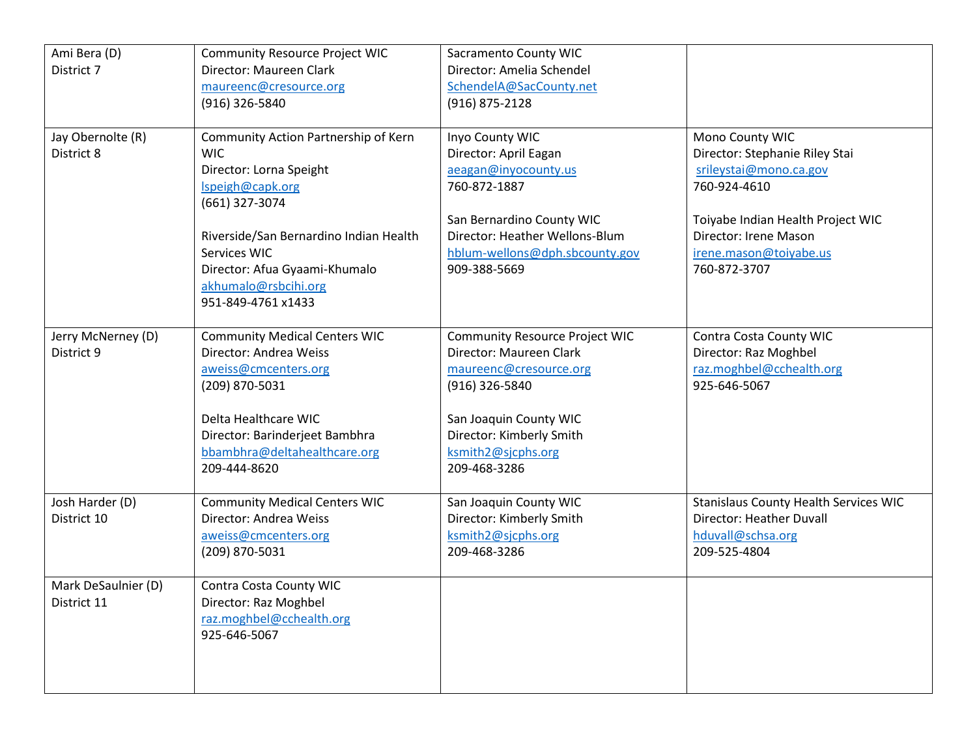| Ami Bera (D)        | <b>Community Resource Project WIC</b>  | <b>Sacramento County WIC</b>   |                                       |
|---------------------|----------------------------------------|--------------------------------|---------------------------------------|
| District 7          | Director: Maureen Clark                | Director: Amelia Schendel      |                                       |
|                     | maureenc@cresource.org                 | SchendelA@SacCounty.net        |                                       |
|                     | (916) 326-5840                         | (916) 875-2128                 |                                       |
|                     |                                        |                                |                                       |
| Jay Obernolte (R)   | Community Action Partnership of Kern   | Inyo County WIC                | Mono County WIC                       |
| District 8          | <b>WIC</b>                             | Director: April Eagan          | Director: Stephanie Riley Stai        |
|                     | Director: Lorna Speight                | aeagan@inyocounty.us           | srileystai@mono.ca.gov                |
|                     | Ispeigh@capk.org                       | 760-872-1887                   | 760-924-4610                          |
|                     | (661) 327-3074                         |                                |                                       |
|                     |                                        | San Bernardino County WIC      | Toiyabe Indian Health Project WIC     |
|                     | Riverside/San Bernardino Indian Health | Director: Heather Wellons-Blum | Director: Irene Mason                 |
|                     | Services WIC                           | hblum-wellons@dph.sbcounty.gov | irene.mason@toiyabe.us                |
|                     | Director: Afua Gyaami-Khumalo          | 909-388-5669                   | 760-872-3707                          |
|                     | akhumalo@rsbcihi.org                   |                                |                                       |
|                     | 951-849-4761 x1433                     |                                |                                       |
|                     |                                        |                                |                                       |
| Jerry McNerney (D)  | <b>Community Medical Centers WIC</b>   | Community Resource Project WIC | Contra Costa County WIC               |
| District 9          | Director: Andrea Weiss                 | Director: Maureen Clark        | Director: Raz Moghbel                 |
|                     | aweiss@cmcenters.org                   | maureenc@cresource.org         | raz.moghbel@cchealth.org              |
|                     | (209) 870-5031                         | (916) 326-5840                 | 925-646-5067                          |
|                     |                                        |                                |                                       |
|                     | Delta Healthcare WIC                   | San Joaquin County WIC         |                                       |
|                     | Director: Barinderjeet Bambhra         | Director: Kimberly Smith       |                                       |
|                     | bbambhra@deltahealthcare.org           | ksmith2@sjcphs.org             |                                       |
|                     | 209-444-8620                           | 209-468-3286                   |                                       |
|                     |                                        |                                |                                       |
| Josh Harder (D)     | <b>Community Medical Centers WIC</b>   | San Joaquin County WIC         | Stanislaus County Health Services WIC |
| District 10         | Director: Andrea Weiss                 | Director: Kimberly Smith       | Director: Heather Duvall              |
|                     | aweiss@cmcenters.org                   | ksmith2@sjcphs.org             | hduvall@schsa.org                     |
|                     | (209) 870-5031                         | 209-468-3286                   | 209-525-4804                          |
|                     |                                        |                                |                                       |
| Mark DeSaulnier (D) | Contra Costa County WIC                |                                |                                       |
| District 11         | Director: Raz Moghbel                  |                                |                                       |
|                     | raz.moghbel@cchealth.org               |                                |                                       |
|                     | 925-646-5067                           |                                |                                       |
|                     |                                        |                                |                                       |
|                     |                                        |                                |                                       |
|                     |                                        |                                |                                       |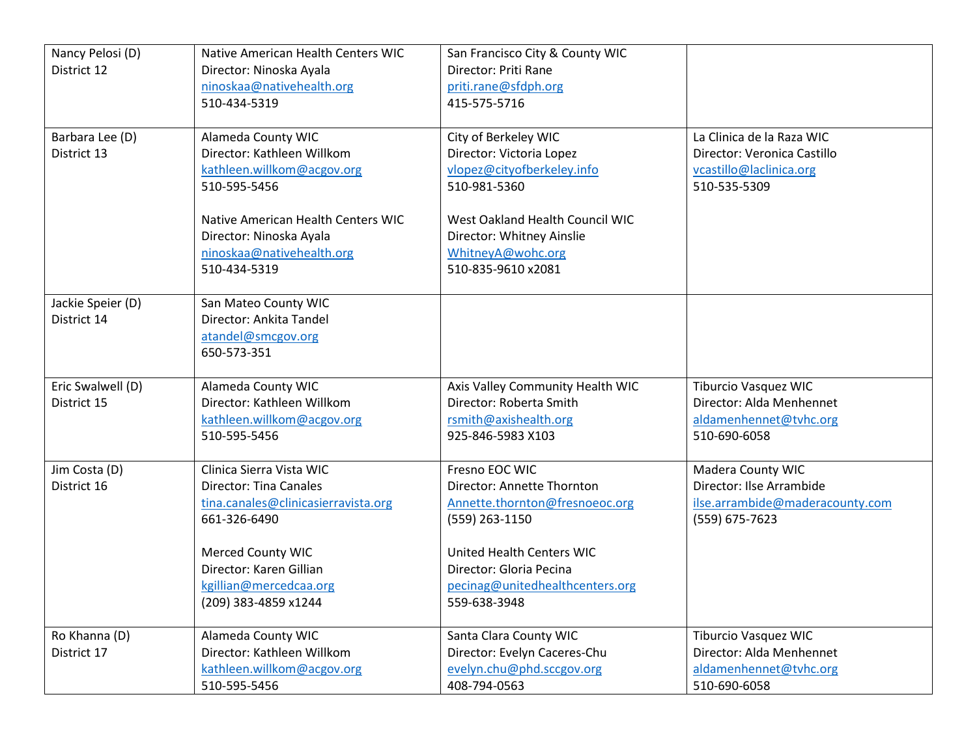| Nancy Pelosi (D)  | Native American Health Centers WIC  | San Francisco City & County WIC  |                                 |
|-------------------|-------------------------------------|----------------------------------|---------------------------------|
| District 12       | Director: Ninoska Ayala             | Director: Priti Rane             |                                 |
|                   | ninoskaa@nativehealth.org           | priti.rane@sfdph.org             |                                 |
|                   | 510-434-5319                        | 415-575-5716                     |                                 |
|                   |                                     |                                  |                                 |
| Barbara Lee (D)   | Alameda County WIC                  | City of Berkeley WIC             | La Clinica de la Raza WIC       |
| District 13       | Director: Kathleen Willkom          | Director: Victoria Lopez         | Director: Veronica Castillo     |
|                   | kathleen.willkom@acgov.org          | vlopez@cityofberkeley.info       | vcastillo@laclinica.org         |
|                   | 510-595-5456                        | 510-981-5360                     | 510-535-5309                    |
|                   | Native American Health Centers WIC  | West Oakland Health Council WIC  |                                 |
|                   | Director: Ninoska Ayala             | Director: Whitney Ainslie        |                                 |
|                   | ninoskaa@nativehealth.org           | WhitneyA@wohc.org                |                                 |
|                   | 510-434-5319                        | 510-835-9610 x2081               |                                 |
| Jackie Speier (D) | San Mateo County WIC                |                                  |                                 |
| District 14       | Director: Ankita Tandel             |                                  |                                 |
|                   | atandel@smcgov.org                  |                                  |                                 |
|                   | 650-573-351                         |                                  |                                 |
| Eric Swalwell (D) | Alameda County WIC                  | Axis Valley Community Health WIC | <b>Tiburcio Vasquez WIC</b>     |
| District 15       | Director: Kathleen Willkom          | Director: Roberta Smith          | Director: Alda Menhennet        |
|                   | kathleen.willkom@acgov.org          | rsmith@axishealth.org            | aldamenhennet@tvhc.org          |
|                   | 510-595-5456                        | 925-846-5983 X103                | 510-690-6058                    |
|                   |                                     |                                  |                                 |
| Jim Costa (D)     | Clinica Sierra Vista WIC            | Fresno EOC WIC                   | Madera County WIC               |
| District 16       | <b>Director: Tina Canales</b>       | Director: Annette Thornton       | Director: Ilse Arrambide        |
|                   | tina.canales@clinicasierravista.org | Annette.thornton@fresnoeoc.org   | ilse.arrambide@maderacounty.com |
|                   | 661-326-6490                        | (559) 263-1150                   | (559) 675-7623                  |
|                   | Merced County WIC                   | <b>United Health Centers WIC</b> |                                 |
|                   | Director: Karen Gillian             | Director: Gloria Pecina          |                                 |
|                   | kgillian@mercedcaa.org              | pecinag@unitedhealthcenters.org  |                                 |
|                   | (209) 383-4859 x1244                | 559-638-3948                     |                                 |
|                   |                                     |                                  |                                 |
| Ro Khanna (D)     | Alameda County WIC                  | Santa Clara County WIC           | <b>Tiburcio Vasquez WIC</b>     |
| District 17       | Director: Kathleen Willkom          | Director: Evelyn Caceres-Chu     | Director: Alda Menhennet        |
|                   | kathleen.willkom@acgov.org          | evelyn.chu@phd.sccgov.org        | aldamenhennet@tvhc.org          |
|                   | 510-595-5456                        | 408-794-0563                     | 510-690-6058                    |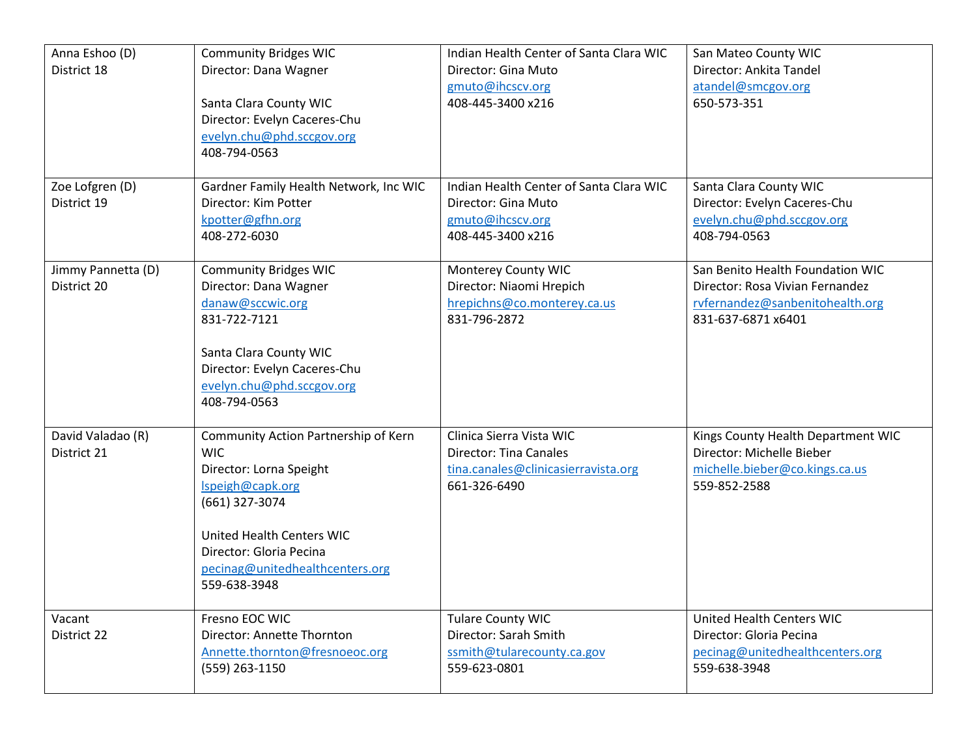| Anna Eshoo (D)<br>District 18     | <b>Community Bridges WIC</b><br>Director: Dana Wagner<br>Santa Clara County WIC<br>Director: Evelyn Caceres-Chu<br>evelyn.chu@phd.sccgov.org                                                                                   | Indian Health Center of Santa Clara WIC<br>Director: Gina Muto<br>gmuto@ihcscv.org<br>408-445-3400 x216          | San Mateo County WIC<br>Director: Ankita Tandel<br>atandel@smcgov.org<br>650-573-351                                         |
|-----------------------------------|--------------------------------------------------------------------------------------------------------------------------------------------------------------------------------------------------------------------------------|------------------------------------------------------------------------------------------------------------------|------------------------------------------------------------------------------------------------------------------------------|
| Zoe Lofgren (D)<br>District 19    | 408-794-0563<br>Gardner Family Health Network, Inc WIC<br>Director: Kim Potter<br>kpotter@gfhn.org<br>408-272-6030                                                                                                             | Indian Health Center of Santa Clara WIC<br>Director: Gina Muto<br>gmuto@ihcscv.org<br>408-445-3400 x216          | Santa Clara County WIC<br>Director: Evelyn Caceres-Chu<br>evelyn.chu@phd.sccgov.org<br>408-794-0563                          |
| Jimmy Pannetta (D)<br>District 20 | <b>Community Bridges WIC</b><br>Director: Dana Wagner<br>danaw@sccwic.org<br>831-722-7121<br>Santa Clara County WIC<br>Director: Evelyn Caceres-Chu<br>evelyn.chu@phd.sccgov.org<br>408-794-0563                               | Monterey County WIC<br>Director: Niaomi Hrepich<br>hrepichns@co.monterey.ca.us<br>831-796-2872                   | San Benito Health Foundation WIC<br>Director: Rosa Vivian Fernandez<br>rvfernandez@sanbenitohealth.org<br>831-637-6871 x6401 |
| David Valadao (R)<br>District 21  | Community Action Partnership of Kern<br><b>WIC</b><br>Director: Lorna Speight<br>Ispeigh@capk.org<br>(661) 327-3074<br>United Health Centers WIC<br>Director: Gloria Pecina<br>pecinag@unitedhealthcenters.org<br>559-638-3948 | Clinica Sierra Vista WIC<br><b>Director: Tina Canales</b><br>tina.canales@clinicasierravista.org<br>661-326-6490 | Kings County Health Department WIC<br>Director: Michelle Bieber<br>michelle.bieber@co.kings.ca.us<br>559-852-2588            |
| Vacant<br>District 22             | Fresno EOC WIC<br>Director: Annette Thornton<br>Annette.thornton@fresnoeoc.org<br>(559) 263-1150                                                                                                                               | <b>Tulare County WIC</b><br>Director: Sarah Smith<br>ssmith@tularecounty.ca.gov<br>559-623-0801                  | <b>United Health Centers WIC</b><br>Director: Gloria Pecina<br>pecinag@unitedhealthcenters.org<br>559-638-3948               |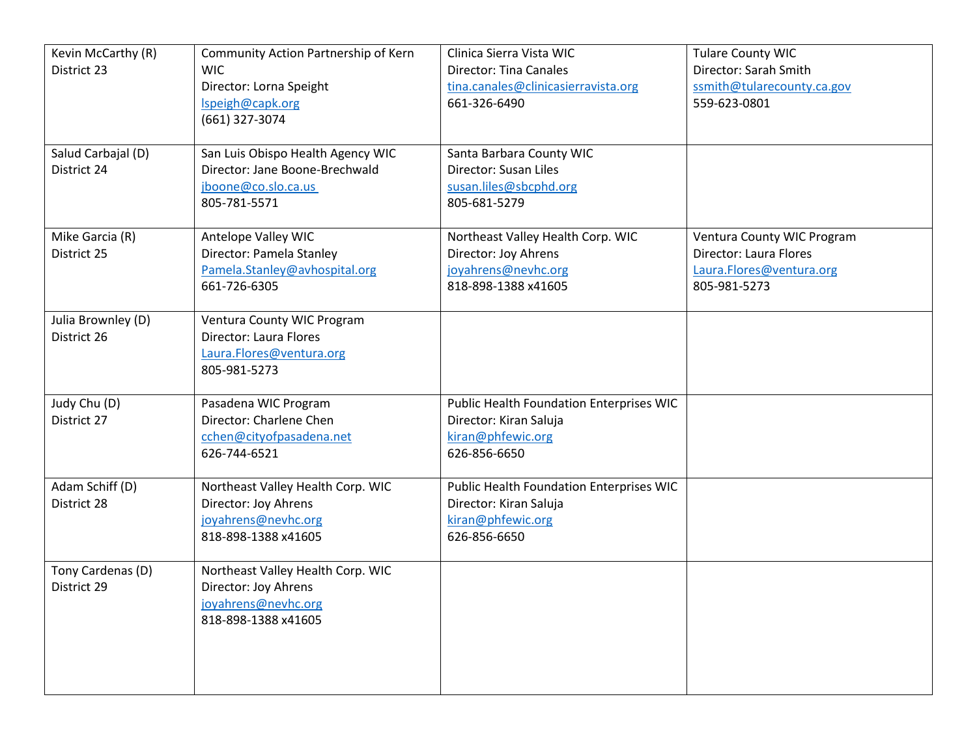| Kevin McCarthy (R) | Community Action Partnership of Kern | Clinica Sierra Vista WIC                 | <b>Tulare County WIC</b>   |
|--------------------|--------------------------------------|------------------------------------------|----------------------------|
| District 23        | <b>WIC</b>                           | <b>Director: Tina Canales</b>            | Director: Sarah Smith      |
|                    | Director: Lorna Speight              | tina.canales@clinicasierravista.org      | ssmith@tularecounty.ca.gov |
|                    | Ispeigh@capk.org                     | 661-326-6490                             | 559-623-0801               |
|                    | (661) 327-3074                       |                                          |                            |
|                    |                                      |                                          |                            |
| Salud Carbajal (D) | San Luis Obispo Health Agency WIC    | Santa Barbara County WIC                 |                            |
| District 24        | Director: Jane Boone-Brechwald       | Director: Susan Liles                    |                            |
|                    | jboone@co.slo.ca.us                  | susan.liles@sbcphd.org                   |                            |
|                    | 805-781-5571                         | 805-681-5279                             |                            |
|                    |                                      |                                          |                            |
| Mike Garcia (R)    | Antelope Valley WIC                  | Northeast Valley Health Corp. WIC        | Ventura County WIC Program |
| District 25        | Director: Pamela Stanley             | Director: Joy Ahrens                     | Director: Laura Flores     |
|                    | Pamela.Stanley@avhospital.org        | joyahrens@nevhc.org                      | Laura.Flores@ventura.org   |
|                    | 661-726-6305                         | 818-898-1388 x41605                      | 805-981-5273               |
|                    |                                      |                                          |                            |
| Julia Brownley (D) | Ventura County WIC Program           |                                          |                            |
| District 26        | Director: Laura Flores               |                                          |                            |
|                    | Laura.Flores@ventura.org             |                                          |                            |
|                    | 805-981-5273                         |                                          |                            |
|                    |                                      |                                          |                            |
| Judy Chu (D)       | Pasadena WIC Program                 | Public Health Foundation Enterprises WIC |                            |
| District 27        | Director: Charlene Chen              | Director: Kiran Saluja                   |                            |
|                    | cchen@cityofpasadena.net             | kiran@phfewic.org                        |                            |
|                    | 626-744-6521                         | 626-856-6650                             |                            |
|                    |                                      |                                          |                            |
| Adam Schiff (D)    | Northeast Valley Health Corp. WIC    | Public Health Foundation Enterprises WIC |                            |
| District 28        | Director: Joy Ahrens                 | Director: Kiran Saluja                   |                            |
|                    | joyahrens@nevhc.org                  | kiran@phfewic.org                        |                            |
|                    | 818-898-1388 x41605                  | 626-856-6650                             |                            |
|                    |                                      |                                          |                            |
| Tony Cardenas (D)  | Northeast Valley Health Corp. WIC    |                                          |                            |
| District 29        | Director: Joy Ahrens                 |                                          |                            |
|                    | joyahrens@nevhc.org                  |                                          |                            |
|                    | 818-898-1388 x41605                  |                                          |                            |
|                    |                                      |                                          |                            |
|                    |                                      |                                          |                            |
|                    |                                      |                                          |                            |
|                    |                                      |                                          |                            |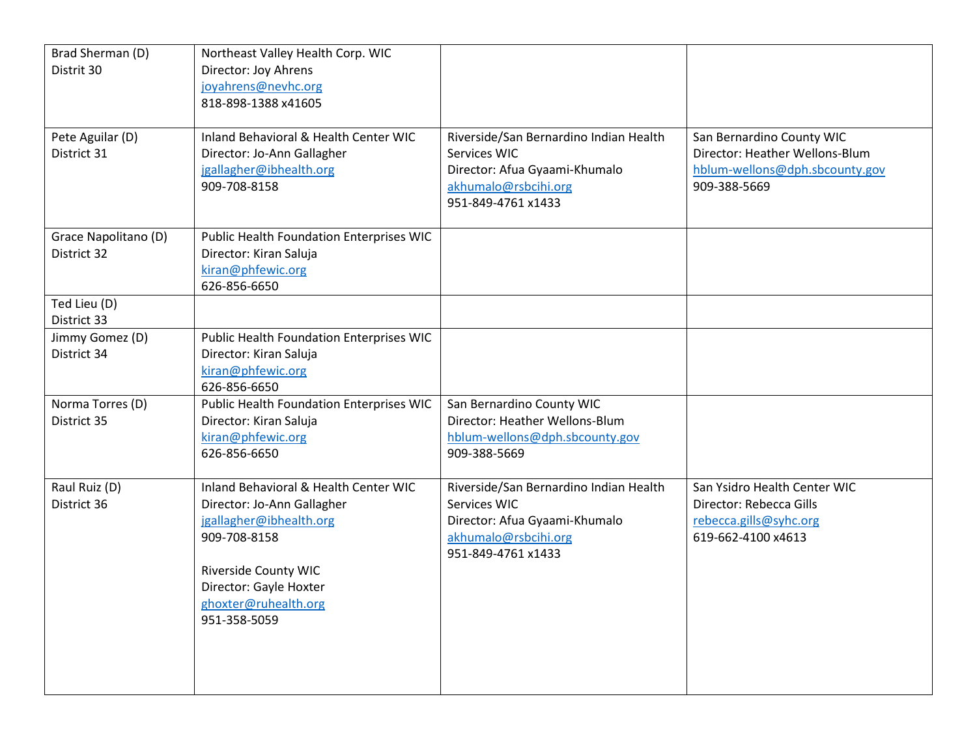| Brad Sherman (D)<br>Distrit 30 | Northeast Valley Health Corp. WIC<br>Director: Joy Ahrens |                                                |                                |
|--------------------------------|-----------------------------------------------------------|------------------------------------------------|--------------------------------|
|                                | joyahrens@nevhc.org                                       |                                                |                                |
|                                | 818-898-1388 x41605                                       |                                                |                                |
|                                |                                                           |                                                |                                |
| Pete Aguilar (D)               | Inland Behavioral & Health Center WIC                     | Riverside/San Bernardino Indian Health         | San Bernardino County WIC      |
| District 31                    | Director: Jo-Ann Gallagher                                | Services WIC                                   | Director: Heather Wellons-Blum |
|                                | jgallagher@ibhealth.org                                   | Director: Afua Gyaami-Khumalo                  | hblum-wellons@dph.sbcounty.gov |
|                                | 909-708-8158                                              | akhumalo@rsbcihi.org                           | 909-388-5669                   |
|                                |                                                           | 951-849-4761 x1433                             |                                |
| Grace Napolitano (D)           | Public Health Foundation Enterprises WIC                  |                                                |                                |
| District 32                    | Director: Kiran Saluja                                    |                                                |                                |
|                                | kiran@phfewic.org                                         |                                                |                                |
|                                | 626-856-6650                                              |                                                |                                |
| Ted Lieu (D)                   |                                                           |                                                |                                |
| District 33                    |                                                           |                                                |                                |
| Jimmy Gomez (D)                | Public Health Foundation Enterprises WIC                  |                                                |                                |
| District 34                    | Director: Kiran Saluja                                    |                                                |                                |
|                                | kiran@phfewic.org                                         |                                                |                                |
|                                | 626-856-6650                                              |                                                |                                |
| Norma Torres (D)               | Public Health Foundation Enterprises WIC                  | San Bernardino County WIC                      |                                |
| District 35                    | Director: Kiran Saluja<br>kiran@phfewic.org               | Director: Heather Wellons-Blum                 |                                |
|                                | 626-856-6650                                              | hblum-wellons@dph.sbcounty.gov<br>909-388-5669 |                                |
|                                |                                                           |                                                |                                |
| Raul Ruiz (D)                  | Inland Behavioral & Health Center WIC                     | Riverside/San Bernardino Indian Health         | San Ysidro Health Center WIC   |
| District 36                    | Director: Jo-Ann Gallagher                                | Services WIC                                   | Director: Rebecca Gills        |
|                                | jgallagher@ibhealth.org                                   | Director: Afua Gyaami-Khumalo                  | rebecca.gills@syhc.org         |
|                                | 909-708-8158                                              | akhumalo@rsbcihi.org                           | 619-662-4100 x4613             |
|                                |                                                           | 951-849-4761 x1433                             |                                |
|                                | Riverside County WIC                                      |                                                |                                |
|                                | Director: Gayle Hoxter                                    |                                                |                                |
|                                | ghoxter@ruhealth.org<br>951-358-5059                      |                                                |                                |
|                                |                                                           |                                                |                                |
|                                |                                                           |                                                |                                |
|                                |                                                           |                                                |                                |
|                                |                                                           |                                                |                                |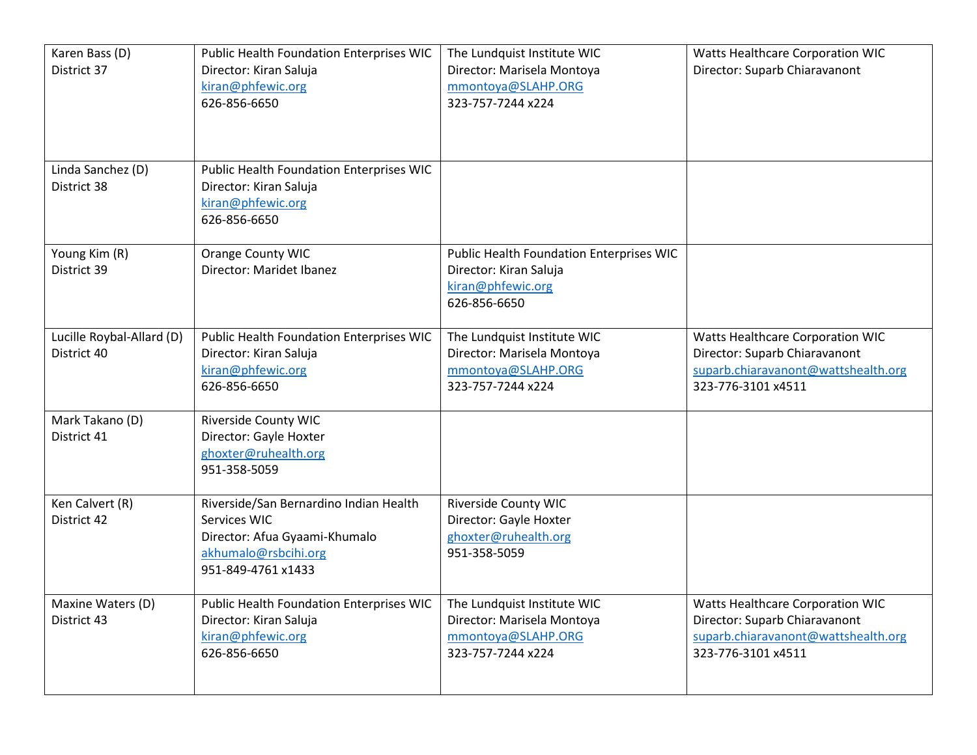| Karen Bass (D)<br>District 37 | Public Health Foundation Enterprises WIC<br>Director: Kiran Saluja | The Lundquist Institute WIC<br>Director: Marisela Montoya | Watts Healthcare Corporation WIC<br>Director: Suparb Chiaravanont |
|-------------------------------|--------------------------------------------------------------------|-----------------------------------------------------------|-------------------------------------------------------------------|
|                               | kiran@phfewic.org                                                  | mmontoya@SLAHP.ORG                                        |                                                                   |
|                               | 626-856-6650                                                       | 323-757-7244 x224                                         |                                                                   |
|                               |                                                                    |                                                           |                                                                   |
|                               |                                                                    |                                                           |                                                                   |
| Linda Sanchez (D)             | Public Health Foundation Enterprises WIC                           |                                                           |                                                                   |
| District 38                   | Director: Kiran Saluja                                             |                                                           |                                                                   |
|                               | kiran@phfewic.org                                                  |                                                           |                                                                   |
|                               | 626-856-6650                                                       |                                                           |                                                                   |
| Young Kim (R)                 | Orange County WIC                                                  | Public Health Foundation Enterprises WIC                  |                                                                   |
| District 39                   | Director: Maridet Ibanez                                           | Director: Kiran Saluja                                    |                                                                   |
|                               |                                                                    | kiran@phfewic.org                                         |                                                                   |
|                               |                                                                    | 626-856-6650                                              |                                                                   |
| Lucille Roybal-Allard (D)     | Public Health Foundation Enterprises WIC                           | The Lundquist Institute WIC                               | Watts Healthcare Corporation WIC                                  |
| District 40                   | Director: Kiran Saluja                                             | Director: Marisela Montoya                                | Director: Suparb Chiaravanont                                     |
|                               | kiran@phfewic.org                                                  | mmontoya@SLAHP.ORG                                        | suparb.chiaravanont@wattshealth.org                               |
|                               | 626-856-6650                                                       | 323-757-7244 x224                                         | 323-776-3101 x4511                                                |
| Mark Takano (D)               | <b>Riverside County WIC</b>                                        |                                                           |                                                                   |
| District 41                   | Director: Gayle Hoxter                                             |                                                           |                                                                   |
|                               | ghoxter@ruhealth.org                                               |                                                           |                                                                   |
|                               | 951-358-5059                                                       |                                                           |                                                                   |
| Ken Calvert (R)               | Riverside/San Bernardino Indian Health                             | <b>Riverside County WIC</b>                               |                                                                   |
| District 42                   | Services WIC                                                       | Director: Gayle Hoxter                                    |                                                                   |
|                               | Director: Afua Gyaami-Khumalo                                      | ghoxter@ruhealth.org                                      |                                                                   |
|                               | akhumalo@rsbcihi.org                                               | 951-358-5059                                              |                                                                   |
|                               | 951-849-4761 x1433                                                 |                                                           |                                                                   |
| Maxine Waters (D)             | Public Health Foundation Enterprises WIC                           | The Lundquist Institute WIC                               | Watts Healthcare Corporation WIC                                  |
| District 43                   | Director: Kiran Saluja                                             | Director: Marisela Montoya                                | Director: Suparb Chiaravanont                                     |
|                               | kiran@phfewic.org                                                  | mmontoya@SLAHP.ORG                                        | suparb.chiaravanont@wattshealth.org                               |
|                               | 626-856-6650                                                       | 323-757-7244 x224                                         | 323-776-3101 x4511                                                |
|                               |                                                                    |                                                           |                                                                   |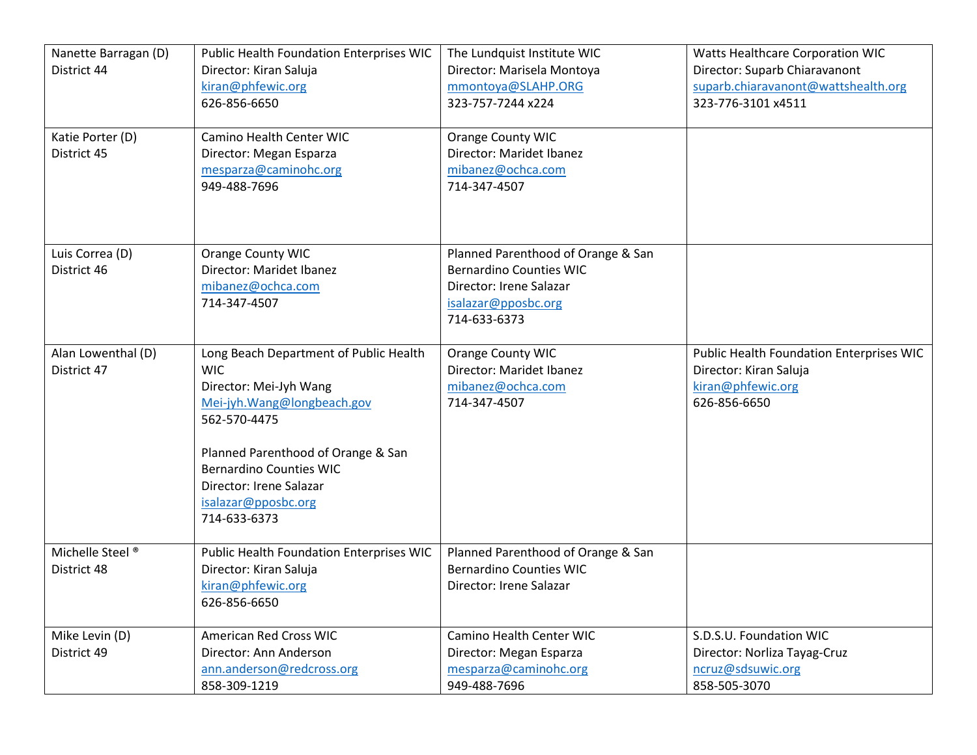| Nanette Barragan (D)<br>District 44<br>Katie Porter (D)<br>District 45 | Public Health Foundation Enterprises WIC<br>Director: Kiran Saluja<br>kiran@phfewic.org<br>626-856-6650<br><b>Camino Health Center WIC</b><br>Director: Megan Esparza<br>mesparza@caminohc.org<br>949-488-7696                                                          | The Lundquist Institute WIC<br>Director: Marisela Montoya<br>mmontoya@SLAHP.ORG<br>323-757-7244 x224<br><b>Orange County WIC</b><br>Director: Maridet Ibanez<br>mibanez@ochca.com<br>714-347-4507 | Watts Healthcare Corporation WIC<br>Director: Suparb Chiaravanont<br>suparb.chiaravanont@wattshealth.org<br>323-776-3101 x4511 |
|------------------------------------------------------------------------|-------------------------------------------------------------------------------------------------------------------------------------------------------------------------------------------------------------------------------------------------------------------------|---------------------------------------------------------------------------------------------------------------------------------------------------------------------------------------------------|--------------------------------------------------------------------------------------------------------------------------------|
| Luis Correa (D)<br>District 46                                         | Orange County WIC<br>Director: Maridet Ibanez<br>mibanez@ochca.com<br>714-347-4507                                                                                                                                                                                      | Planned Parenthood of Orange & San<br><b>Bernardino Counties WIC</b><br>Director: Irene Salazar<br>isalazar@pposbc.org<br>714-633-6373                                                            |                                                                                                                                |
| Alan Lowenthal (D)<br>District 47                                      | Long Beach Department of Public Health<br><b>WIC</b><br>Director: Mei-Jyh Wang<br>Mei-jyh. Wang@longbeach.gov<br>562-570-4475<br>Planned Parenthood of Orange & San<br><b>Bernardino Counties WIC</b><br>Director: Irene Salazar<br>isalazar@pposbc.org<br>714-633-6373 | Orange County WIC<br>Director: Maridet Ibanez<br>mibanez@ochca.com<br>714-347-4507                                                                                                                | Public Health Foundation Enterprises WIC<br>Director: Kiran Saluja<br>kiran@phfewic.org<br>626-856-6650                        |
| Michelle Steel <sup>®</sup><br>District 48                             | Public Health Foundation Enterprises WIC<br>Director: Kiran Saluja<br>kiran@phfewic.org<br>626-856-6650                                                                                                                                                                 | Planned Parenthood of Orange & San<br><b>Bernardino Counties WIC</b><br>Director: Irene Salazar                                                                                                   |                                                                                                                                |
| Mike Levin (D)<br>District 49                                          | <b>American Red Cross WIC</b><br>Director: Ann Anderson<br>ann.anderson@redcross.org<br>858-309-1219                                                                                                                                                                    | <b>Camino Health Center WIC</b><br>Director: Megan Esparza<br>mesparza@caminohc.org<br>949-488-7696                                                                                               | S.D.S.U. Foundation WIC<br>Director: Norliza Tayag-Cruz<br>ncruz@sdsuwic.org<br>858-505-3070                                   |